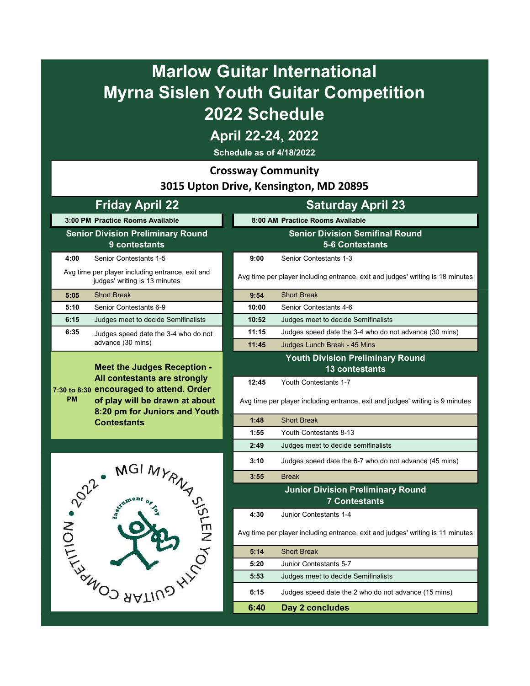## Marlow Guitar International Myrna Sislen Youth Guitar Competition 2022 Schedule

April 22-24, 2022

Schedule as of 4/18/2022

Crossway Community

3015 Upton Drive, Kensington, MD 20895

## Friday April 22 Saturday April 23 3:00 PM Practice Rooms Available 8:00 AM Practice Rooms Available Senior Division Preliminary Round Senior Division Semifinal Round 5-6 Contestants 9 contestants 4:00 Senior Contestants 1-5 9:00 Senior Contestants 1-3 Avg time per player including entrance, exit and per player including entrance, exit and Avg time per player including entrance, exit and judges' writing is 18 minutes judges' writing is 18 minutes 5:05 Short Break 9:54 Short Break 5:10 Senior Contestants 6-9 10:00 Senior Contestants 4-6 6:15 Judges meet to decide Semifinalists 10:52 Judges meet to decide Semifinalists 6:35 ludges speed date the 3-4 who do not **11:15** Judges speed date the 3-4 who do not advance (30 mins) Judges speed date the 3-4 who do not advance (30 mins) 11:45 Judges Lunch Break - 45 Mins Youth Division Preliminary Round Meet the Judges Reception - 13 contestants All contestants are strongly 12:45 Youth Contestants 1-7 7:30 to 8:30 encouraged to attend. Order PM of play will be drawn at about Avg time per player including entrance, exit and judges' writing is 9 minutes 8:20 pm for Juniors and Youth 1:48 Short Break **Contestants** 1:55 Youth Contestants 8-13 2:49 Judges meet to decide semifinalists 3:10 Judges speed date the 6-7 who do not advance (45 mins) 3:55 Break AND SAMILING Junior Division Preliminary Round 7 Contestants 4:30 Junior Contestants 1-4 Avg time per player including entrance, exit and judges' writing is 11 minutes5:14 Short Break 5:20 Junior Contestants 5-7 5:53 Judges meet to decide Semifinalists 6:15 Judges speed date the 2 who do not advance (15 mins) 6:40 Day 2 concludes